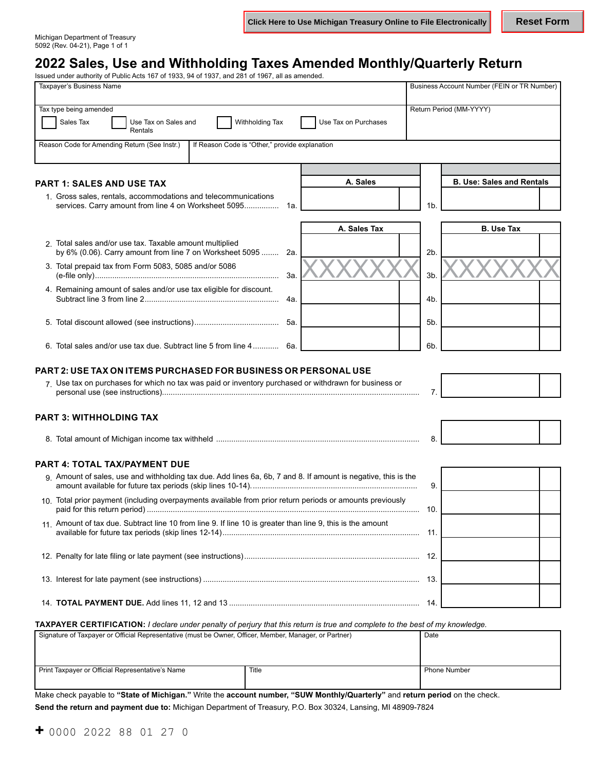Michigan Department of Treasury 5092 (Rev. 04-21), Page 1 of 1

# **2022 Sales, Use and Withholding Taxes Amended Monthly/Quarterly Return**

| Taxpayer's Business Name |                                                                                                                               |                      |                | Business Account Number (FEIN or TR Number) |  |
|--------------------------|-------------------------------------------------------------------------------------------------------------------------------|----------------------|----------------|---------------------------------------------|--|
|                          | Tax type being amended                                                                                                        |                      |                | Return Period (MM-YYYY)                     |  |
|                          | <b>Withholding Tax</b><br>Sales Tax<br>Use Tax on Sales and<br>Rentals                                                        | Use Tax on Purchases |                |                                             |  |
|                          | Reason Code for Amending Return (See Instr.)<br>If Reason Code is "Other," provide explanation                                |                      |                |                                             |  |
|                          |                                                                                                                               |                      |                |                                             |  |
|                          | <b>PART 1: SALES AND USE TAX</b>                                                                                              | A. Sales             |                | <b>B. Use: Sales and Rentals</b>            |  |
|                          | 1. Gross sales, rentals, accommodations and telecommunications<br>services. Carry amount from line 4 on Worksheet 5095<br>1a. |                      | 1 <sub>b</sub> |                                             |  |
|                          |                                                                                                                               | A. Sales Tax         |                | <b>B.</b> Use Tax                           |  |
|                          | 2. Total sales and/or use tax. Taxable amount multiplied<br>by 6% (0.06). Carry amount from line 7 on Worksheet 5095<br>2a.   |                      | 2 <sub>b</sub> |                                             |  |
|                          | 3. Total prepaid tax from Form 5083, 5085 and/or 5086<br>За.                                                                  |                      | 3b.            |                                             |  |
|                          | 4. Remaining amount of sales and/or use tax eligible for discount.<br>4a.                                                     |                      | 4b.            |                                             |  |
|                          | 5а.                                                                                                                           |                      | 5b.            |                                             |  |
|                          | 6. Total sales and/or use tax due. Subtract line 5 from line 4<br>6а.                                                         |                      | 6b.            |                                             |  |
|                          | <b>PART 2: USE TAX ON ITEMS PURCHASED FOR BUSINESS OR PERSONAL USE</b>                                                        |                      |                |                                             |  |
|                          | 7. Use tax on purchases for which no tax was paid or inventory purchased or withdrawn for business or                         |                      | 7.             |                                             |  |
|                          | <b>PART 3: WITHHOLDING TAX</b>                                                                                                |                      |                |                                             |  |
|                          |                                                                                                                               |                      | 8.             |                                             |  |
|                          | <b>PART 4: TOTAL TAX/PAYMENT DUE</b>                                                                                          |                      |                |                                             |  |
|                          | 9 Amount of sales, use and withholding tax due. Add lines 6a, 6b, 7 and 8. If amount is negative, this is the                 |                      | 9.             |                                             |  |
|                          | 10. Total prior payment (including overpayments available from prior return periods or amounts previously                     |                      | 10.            |                                             |  |
|                          | 11. Amount of tax due. Subtract line 10 from line 9. If line 10 is greater than line 9, this is the amount                    |                      | -11.           |                                             |  |
|                          |                                                                                                                               |                      |                |                                             |  |
|                          |                                                                                                                               |                      |                |                                             |  |
|                          |                                                                                                                               |                      |                |                                             |  |

**TAXPAYER CERTIFICATION:** *I declare under penalty of perjury that this return is true and complete to the best of my knowledge.* 

| Signature of Taxpayer or Official Representative (must be Owner, Officer, Member, Manager, or Partner) |       | Date         |
|--------------------------------------------------------------------------------------------------------|-------|--------------|
| Print Taxpayer or Official Representative's Name                                                       | Title | Phone Number |

Make check payable to **"State of Michigan."** Write the **account number, "SUW Monthly/Quarterly"** and **return period** on the check.

**Send the return and payment due to:** Michigan Department of Treasury, P.O. Box 30324, Lansing, MI 48909-7824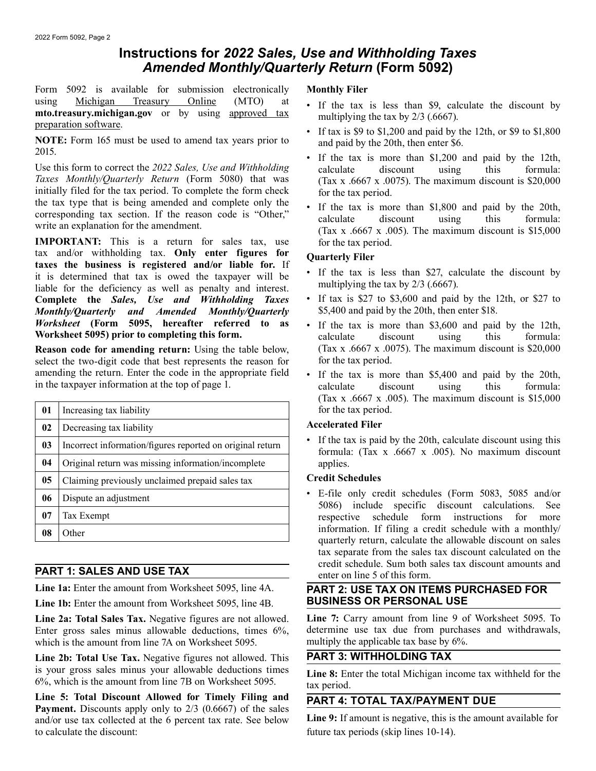# **Instructions for** *2022 Sales, Use and Withholding Taxes Amended Monthly/Quarterly Return* **(Form 5092)**

Form 5092 is available for submission electronically **Monthly Filer**  using <u>Michigan Treasury Online</u> (MTO) at **Form** to the discount by multiplying the tax is less than \$9, calculate the discount by multiplying the tax by 2/3 (.6667).<br> **PEREMICHERE:** Form 165 must be used to amend tax yea

Use this form to correct the 2022 Sales, Use and Withholding calculate discount using this formula:<br>
Taxes Monthly/Quarterly Return (Form 5080) that was (Tax x 6667 x 0075) The maximum discount is \$20,000 initially filed for the tax period. To complete the form check for the tax period.<br>the tax type that is being amended and complete only the

**IMPORTANT:** This is a return for sales tax, use for the tax period.<br>tax and/or withholding tax. Only enter figures for **Oughterly Filer** tax and/or withholding tax. **Only enter figures for**<br>taxes the business is registered and/or liable for. If<br>it is determined that tax is owed the taxnaver will be  $\cdot$  If the tax is less than \$27, calculate the discount by it is determined that tax is owed the taxpayer will be it is the tax is less than  $\frac{32}{1}$ , calculate the discount by liable for the deficiency as well as penalty and interest.<br> **Complete the Sales, Use and Withholding Complete the** *Sales, Use and Withholding Taxes* **•** If tax is \$27 to \$3,600 and paid by the 1<br>**Monthly/Quarterly and Amended Monthly/Quarterly** \$5,400 and paid by the 20th, then enter \$18. *Monthly/Quarterly and Amended Monthly/Quarterly Worksheet* (Form 5095, hereafter referred to as

select the two-digit code that best represents the reason for for the tax period. amending the return. Enter the code in the appropriate field • If the tax is more than \$5,400 and paid by the 20th,

| 01     | Increasing tax liability                                  | $\cdots$<br>for the ta             |
|--------|-----------------------------------------------------------|------------------------------------|
| 02     | Decreasing tax liability                                  | Accelerate                         |
| 03     | Incorrect information/figures reported on original return | If the ta<br>$\bullet$<br>formula: |
| 04     | Original return was missing information/incomplete        | applies.                           |
| $05\,$ | Claiming previously unclaimed prepaid sales tax           | <b>Credit Sch</b>                  |
| 06     | Dispute an adjustment                                     | E-file o<br>$\bullet$<br>5086)     |
| 07     | Tax Exempt                                                | respectiv                          |
| 08     | Other                                                     | informa<br>quarterl                |

**Line 1b:** Enter the amount from Worksheet 5095, line 4B. **BUSINESS OR PERSONAL USE** 

Enter gross sales minus allowable deductions, times  $6\%$ , determine use tax due from purchases which is the amount from line 7A on Worksheet 5095. The multiply the applicable tax base by  $6\%$ . which is the amount from line 7A on Worksheet 5095.

**Line 2b: Total Use Tax.** Negative figures not allowed. This **PART 3: WITHHOLDING TAX** is your gross sales minus your allowable deductions times **Line 8:** Enter the total Michigan in

**Line 5: Total Discount Allowed for Timely Filing and PART 4: TOTAL TAX/PAYMENT DUE Payment.** Discounts apply only to 2/3 (0.6667) of the sales and/or use tax collected at the 6 percent tax rate. See below **Line 9:** If amount is negative, this is the amount available for to calculate the discount: future tax periods (skip lines 10-14).

- 
- 
- If the tax is more than \$1,200 and paid by the 12th, *Tax x .6667 x .0075)*. The maximum discount is \$20,000
- the tax type that is being antended and complete only the<br>corresponding tax section. If the reason code is "Other,"<br>write an explanation for the amendment.<br>(Tax x .6667 x .005). The maximum discount is \$15,000

- 
- 
- If the tax is more than \$3,600 and paid by the 12th, **Worksheet 5095) prior to completing this form.**  $\qquad \qquad \text{calculate} \qquad \text{discount} \qquad \text{this} \qquad \text{formula:}$ **Reason code for amending return:** Using the table below, (Tax x .6667 x .0075). The maximum discount is \$20,000
- in the taxpayer information at the top of page 1. calculate discount using this formula: (Tax x  $.6667$  x  $.005$ ). The maximum discount is \$15,000 for the tax period.

## **Accelerated Filer**

• If the tax is paid by the 20th, calculate discount using this formula: (Tax x .6667 x .005). No maximum discount

## **Credit Schedules**

• E-file only credit schedules (Form 5083, 5085 and/or 5086) include specific discount calculations. See respective schedule form instructions for more information. If filing a credit schedule with a monthly/ quarterly return, calculate the allowable discount on sales tax separate from the sales tax discount calculated on the **PART 1: SALES AND USE TAX** credit schedule. Sum both sales tax discount amounts and enter on line 5 of this form.

# Line 1a: Enter the amount from Worksheet 5095, line 4A. **PART 2: USE TAX ON ITEMS PURCHASED FOR**

Line 2a: Total Sales Tax. Negative figures are not allowed. Line 7: Carry amount from line 9 of Worksheet 5095. To Enter gross sales minus allowable deductions, times 6% determine use tax due from purchases and withdrawals

is your gross sales minus your allowable deductions times **Line 8:** Enter the total Michigan income tax withheld for the 6%, which is the amount from line 7B on Worksheet 5095.